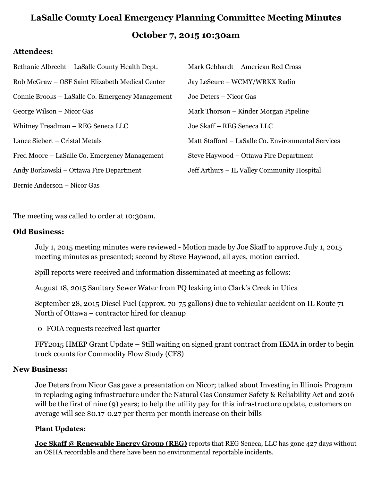# **LaSalle County Local Emergency Planning Committee Meeting Minutes October 7, 2015 10:30am**

## **Attendees:**

| Bethanie Albrecht – LaSalle County Health Dept.  | Mark Gebhardt - American Red Cross                 |
|--------------------------------------------------|----------------------------------------------------|
| Rob McGraw – OSF Saint Elizabeth Medical Center  | Jay LeSeure - WCMY/WRKX Radio                      |
| Connie Brooks – LaSalle Co. Emergency Management | Joe Deters – Nicor Gas                             |
| George Wilson – Nicor Gas                        | Mark Thorson – Kinder Morgan Pipeline              |
| Whitney Treadman - REG Seneca LLC                | Joe Skaff – REG Seneca LLC                         |
| Lance Siebert – Cristal Metals                   | Matt Stafford – LaSalle Co. Environmental Services |
| Fred Moore – LaSalle Co. Emergency Management    | Steve Haywood – Ottawa Fire Department             |
| Andy Borkowski – Ottawa Fire Department          | Jeff Arthurs – IL Valley Community Hospital        |
| Bernie Anderson – Nicor Gas                      |                                                    |

The meeting was called to order at 10:30am.

## **Old Business:**

July 1, 2015 meeting minutes were reviewed - Motion made by Joe Skaff to approve July 1, 2015 meeting minutes as presented; second by Steve Haywood, all ayes, motion carried.

Spill reports were received and information disseminated at meeting as follows:

August 18, 2015 Sanitary Sewer Water from PQ leaking into Clark's Creek in Utica

September 28, 2015 Diesel Fuel (approx. 70-75 gallons) due to vehicular accident on IL Route 71 North of Ottawa – contractor hired for cleanup

-0- FOIA requests received last quarter

FFY2015 HMEP Grant Update – Still waiting on signed grant contract from IEMA in order to begin truck counts for Commodity Flow Study (CFS)

### **New Business:**

Joe Deters from Nicor Gas gave a presentation on Nicor; talked about Investing in Illinois Program in replacing aging infrastructure under the Natural Gas Consumer Safety & Reliability Act and 2016 will be the first of nine (9) years; to help the utility pay for this infrastructure update, customers on average will see \$0.17-0.27 per therm per month increase on their bills

## **Plant Updates:**

**Joe Skaff @ Renewable Energy Group (REG)** reports that REG Seneca, LLC has gone 427 days without an OSHA recordable and there have been no environmental reportable incidents.